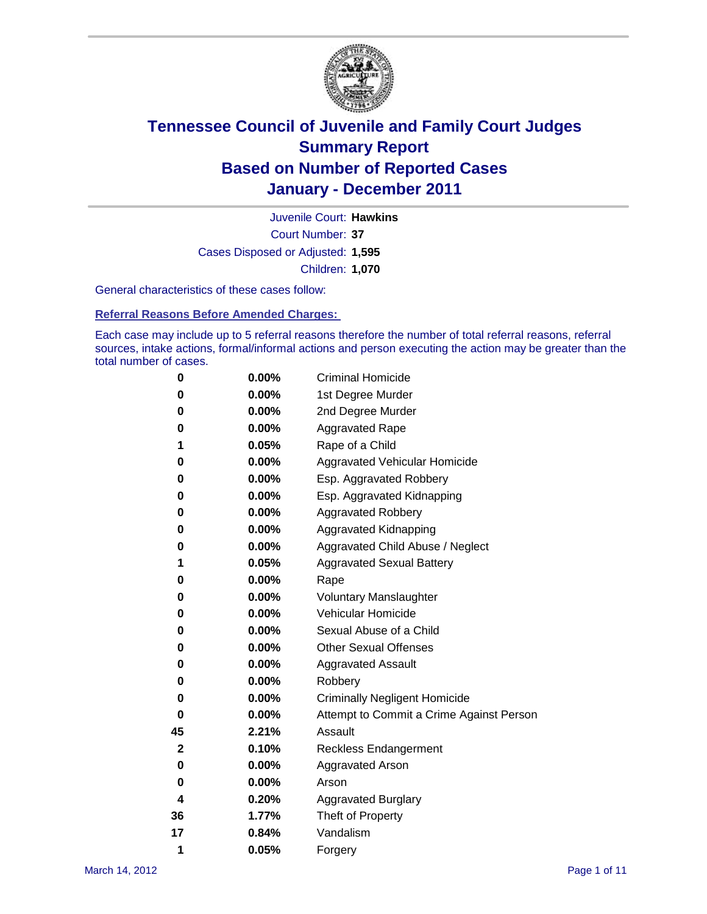

Court Number: **37** Juvenile Court: **Hawkins** Cases Disposed or Adjusted: **1,595** Children: **1,070**

General characteristics of these cases follow:

**Referral Reasons Before Amended Charges:** 

Each case may include up to 5 referral reasons therefore the number of total referral reasons, referral sources, intake actions, formal/informal actions and person executing the action may be greater than the total number of cases.

| 0  | 0.00%    | <b>Criminal Homicide</b>                 |
|----|----------|------------------------------------------|
| 0  | 0.00%    | 1st Degree Murder                        |
| 0  | 0.00%    | 2nd Degree Murder                        |
| 0  | 0.00%    | <b>Aggravated Rape</b>                   |
| 1  | 0.05%    | Rape of a Child                          |
| 0  | 0.00%    | Aggravated Vehicular Homicide            |
| 0  | 0.00%    | Esp. Aggravated Robbery                  |
| 0  | 0.00%    | Esp. Aggravated Kidnapping               |
| 0  | 0.00%    | <b>Aggravated Robbery</b>                |
| 0  | 0.00%    | Aggravated Kidnapping                    |
| 0  | 0.00%    | Aggravated Child Abuse / Neglect         |
| 1  | 0.05%    | <b>Aggravated Sexual Battery</b>         |
| 0  | 0.00%    | Rape                                     |
| 0  | 0.00%    | <b>Voluntary Manslaughter</b>            |
| 0  | 0.00%    | Vehicular Homicide                       |
| 0  | 0.00%    | Sexual Abuse of a Child                  |
| 0  | 0.00%    | <b>Other Sexual Offenses</b>             |
| 0  | 0.00%    | <b>Aggravated Assault</b>                |
| 0  | $0.00\%$ | Robbery                                  |
| 0  | 0.00%    | <b>Criminally Negligent Homicide</b>     |
| 0  | 0.00%    | Attempt to Commit a Crime Against Person |
| 45 | 2.21%    | Assault                                  |
| 2  | 0.10%    | <b>Reckless Endangerment</b>             |
| 0  | 0.00%    | <b>Aggravated Arson</b>                  |
| 0  | 0.00%    | Arson                                    |
| 4  | 0.20%    | <b>Aggravated Burglary</b>               |
| 36 | 1.77%    | Theft of Property                        |
| 17 | 0.84%    | Vandalism                                |
| 1  | 0.05%    | Forgery                                  |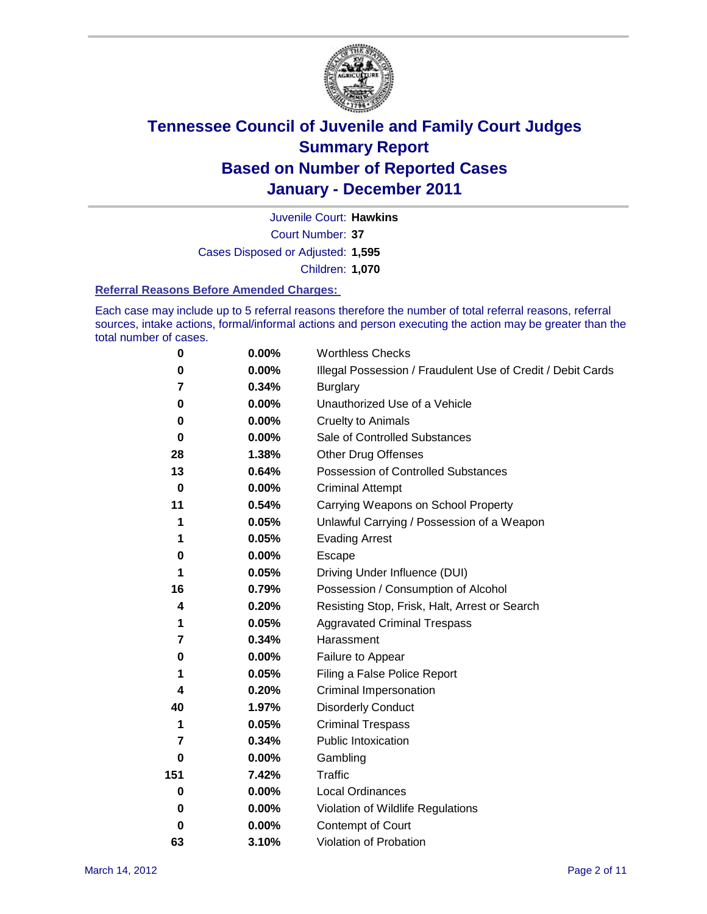

Court Number: **37** Juvenile Court: **Hawkins** Cases Disposed or Adjusted: **1,595** Children: **1,070**

#### **Referral Reasons Before Amended Charges:**

Each case may include up to 5 referral reasons therefore the number of total referral reasons, referral sources, intake actions, formal/informal actions and person executing the action may be greater than the total number of cases.

| $\pmb{0}$ | 0.00%    | <b>Worthless Checks</b>                                     |
|-----------|----------|-------------------------------------------------------------|
| 0         | 0.00%    | Illegal Possession / Fraudulent Use of Credit / Debit Cards |
| 7         | 0.34%    | <b>Burglary</b>                                             |
| 0         | $0.00\%$ | Unauthorized Use of a Vehicle                               |
| 0         | $0.00\%$ | <b>Cruelty to Animals</b>                                   |
| $\bf{0}$  | $0.00\%$ | Sale of Controlled Substances                               |
| 28        | 1.38%    | <b>Other Drug Offenses</b>                                  |
| 13        | 0.64%    | Possession of Controlled Substances                         |
| $\bf{0}$  | $0.00\%$ | <b>Criminal Attempt</b>                                     |
| 11        | 0.54%    | Carrying Weapons on School Property                         |
| 1         | 0.05%    | Unlawful Carrying / Possession of a Weapon                  |
| 1         | 0.05%    | <b>Evading Arrest</b>                                       |
| 0         | 0.00%    | Escape                                                      |
| 1         | 0.05%    | Driving Under Influence (DUI)                               |
| 16        | 0.79%    | Possession / Consumption of Alcohol                         |
| 4         | 0.20%    | Resisting Stop, Frisk, Halt, Arrest or Search               |
| 1         | 0.05%    | <b>Aggravated Criminal Trespass</b>                         |
| 7         | 0.34%    | Harassment                                                  |
| 0         | 0.00%    | Failure to Appear                                           |
| 1         | 0.05%    | Filing a False Police Report                                |
| 4         | 0.20%    | Criminal Impersonation                                      |
| 40        | 1.97%    | <b>Disorderly Conduct</b>                                   |
| 1         | 0.05%    | <b>Criminal Trespass</b>                                    |
| 7         | 0.34%    | <b>Public Intoxication</b>                                  |
| 0         | $0.00\%$ | Gambling                                                    |
| 151       | 7.42%    | Traffic                                                     |
| 0         | $0.00\%$ | Local Ordinances                                            |
| 0         | $0.00\%$ | Violation of Wildlife Regulations                           |
| 0         | $0.00\%$ | Contempt of Court                                           |
| 63        | 3.10%    | Violation of Probation                                      |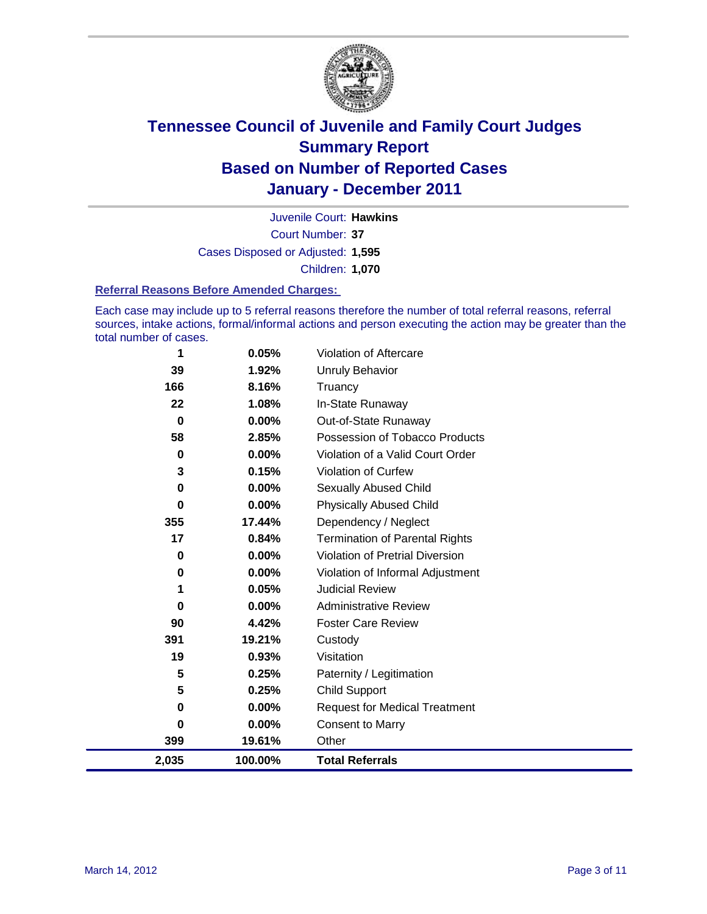

Court Number: **37** Juvenile Court: **Hawkins** Cases Disposed or Adjusted: **1,595** Children: **1,070**

#### **Referral Reasons Before Amended Charges:**

Each case may include up to 5 referral reasons therefore the number of total referral reasons, referral sources, intake actions, formal/informal actions and person executing the action may be greater than the total number of cases.

| 1           | 0.05%    | Violation of Aftercare                 |
|-------------|----------|----------------------------------------|
| 39          | 1.92%    | <b>Unruly Behavior</b>                 |
| 166         | 8.16%    | Truancy                                |
| 22          | 1.08%    | In-State Runaway                       |
| $\bf{0}$    | $0.00\%$ | Out-of-State Runaway                   |
| 58          | 2.85%    | Possession of Tobacco Products         |
| $\bf{0}$    | 0.00%    | Violation of a Valid Court Order       |
| 3           | 0.15%    | Violation of Curfew                    |
| $\bf{0}$    | 0.00%    | Sexually Abused Child                  |
| $\mathbf 0$ | 0.00%    | <b>Physically Abused Child</b>         |
| 355         | 17.44%   | Dependency / Neglect                   |
| 17          | 0.84%    | <b>Termination of Parental Rights</b>  |
| $\mathbf 0$ | 0.00%    | <b>Violation of Pretrial Diversion</b> |
| 0           | 0.00%    | Violation of Informal Adjustment       |
| 1           | 0.05%    | <b>Judicial Review</b>                 |
| 0           | 0.00%    | <b>Administrative Review</b>           |
| 90          | 4.42%    | <b>Foster Care Review</b>              |
| 391         | 19.21%   | Custody                                |
| 19          | 0.93%    | Visitation                             |
| 5           | 0.25%    | Paternity / Legitimation               |
| 5           | 0.25%    | <b>Child Support</b>                   |
| 0           | 0.00%    | <b>Request for Medical Treatment</b>   |
| 0           | 0.00%    | <b>Consent to Marry</b>                |
| 399         | 19.61%   | Other                                  |
| 2,035       | 100.00%  | <b>Total Referrals</b>                 |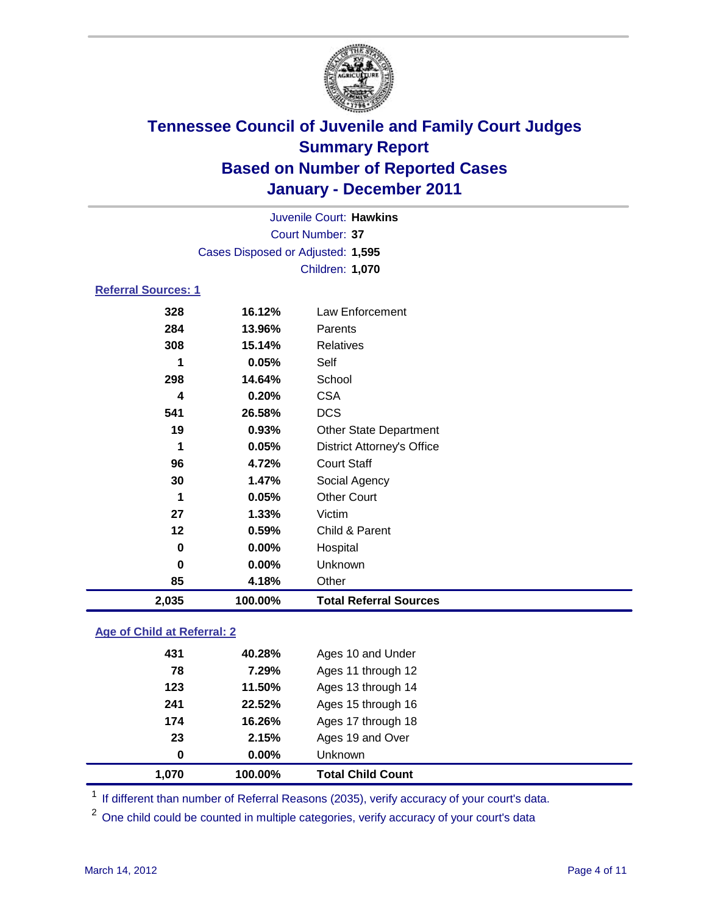

|                            |                                   | Juvenile Court: Hawkins           |  |
|----------------------------|-----------------------------------|-----------------------------------|--|
|                            |                                   | Court Number: 37                  |  |
|                            | Cases Disposed or Adjusted: 1,595 |                                   |  |
|                            |                                   | Children: 1,070                   |  |
| <b>Referral Sources: 1</b> |                                   |                                   |  |
| 328                        | 16.12%                            | Law Enforcement                   |  |
| 284                        | 13.96%                            | Parents                           |  |
| 308                        | 15.14%                            | <b>Relatives</b>                  |  |
| 1                          | 0.05%                             | Self                              |  |
| 298                        | 14.64%                            | School                            |  |
| $\overline{\mathbf{4}}$    | 0.20%                             | <b>CSA</b>                        |  |
| 541                        | 26.58%                            | <b>DCS</b>                        |  |
| 19                         | 0.93%                             | Other State Department            |  |
| 1                          | 0.05%                             | <b>District Attorney's Office</b> |  |
| 96                         | 4.72%                             | <b>Court Staff</b>                |  |
| 30                         | 1.47%                             | Social Agency                     |  |
| 1                          | 0.05%                             | <b>Other Court</b>                |  |
| 27                         | 1.33%                             | Victim                            |  |
| 12                         | 0.59%                             | Child & Parent                    |  |
| 0                          | 0.00%                             | Hospital                          |  |
| 0                          | 0.00%                             | Unknown                           |  |
| 85                         | 4.18%                             | Other                             |  |
| 2,035                      | 100.00%                           | <b>Total Referral Sources</b>     |  |

### **Age of Child at Referral: 2**

| 1.070 | 100.00%  | <b>Total Child Count</b> |
|-------|----------|--------------------------|
| 0     | $0.00\%$ | <b>Unknown</b>           |
| 23    | 2.15%    | Ages 19 and Over         |
| 174   | 16.26%   | Ages 17 through 18       |
| 241   | 22.52%   | Ages 15 through 16       |
| 123   | 11.50%   | Ages 13 through 14       |
| 78    | 7.29%    | Ages 11 through 12       |
| 431   | 40.28%   | Ages 10 and Under        |
|       |          |                          |

<sup>1</sup> If different than number of Referral Reasons (2035), verify accuracy of your court's data.

<sup>2</sup> One child could be counted in multiple categories, verify accuracy of your court's data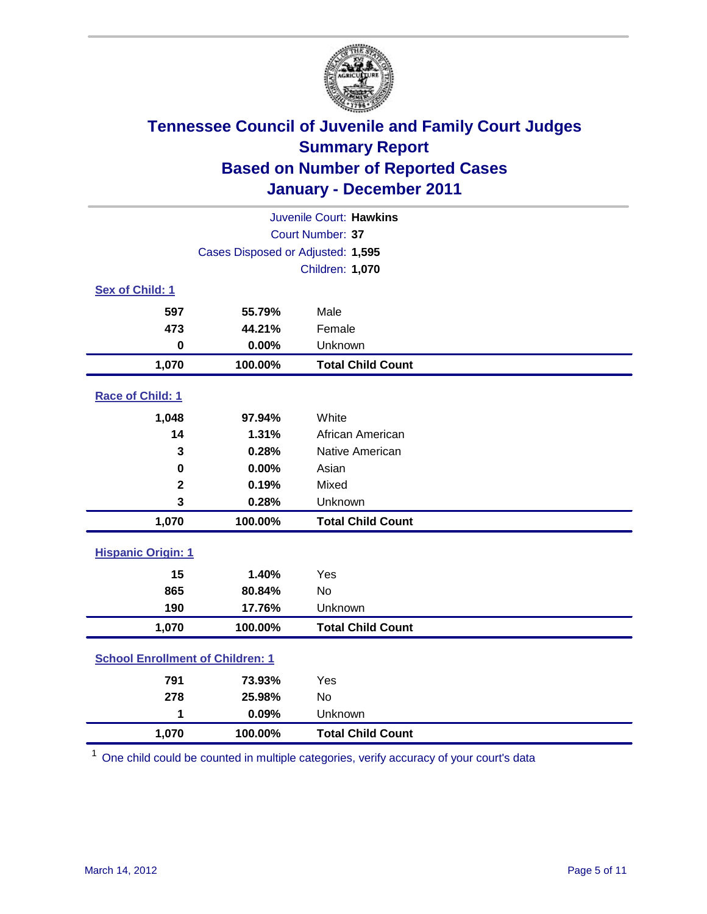

| Juvenile Court: Hawkins                 |                                   |                          |  |
|-----------------------------------------|-----------------------------------|--------------------------|--|
|                                         |                                   | Court Number: 37         |  |
|                                         | Cases Disposed or Adjusted: 1,595 |                          |  |
|                                         |                                   | Children: 1,070          |  |
| Sex of Child: 1                         |                                   |                          |  |
| 597                                     | 55.79%                            | Male                     |  |
| 473                                     | 44.21%                            | Female                   |  |
| $\mathbf 0$                             | 0.00%                             | Unknown                  |  |
| 1,070                                   | 100.00%                           | <b>Total Child Count</b> |  |
| Race of Child: 1                        |                                   |                          |  |
| 1,048                                   | 97.94%                            | White                    |  |
| 14                                      | 1.31%                             | African American         |  |
| 3                                       | 0.28%                             | Native American          |  |
| $\bf{0}$                                | 0.00%                             | Asian                    |  |
| $\mathbf 2$                             | 0.19%                             | Mixed                    |  |
| 3                                       | 0.28%                             | Unknown                  |  |
| 1,070                                   | 100.00%                           | <b>Total Child Count</b> |  |
| <b>Hispanic Origin: 1</b>               |                                   |                          |  |
| 15                                      | 1.40%                             | Yes                      |  |
| 865                                     | 80.84%                            | No                       |  |
| 190                                     | 17.76%                            | Unknown                  |  |
| 1,070                                   | 100.00%                           | <b>Total Child Count</b> |  |
| <b>School Enrollment of Children: 1</b> |                                   |                          |  |
| 791                                     | 73.93%                            | Yes                      |  |
| 278                                     | 25.98%                            | No                       |  |
| 1                                       | 0.09%                             | Unknown                  |  |
| 1,070                                   | 100.00%                           | <b>Total Child Count</b> |  |

<sup>1</sup> One child could be counted in multiple categories, verify accuracy of your court's data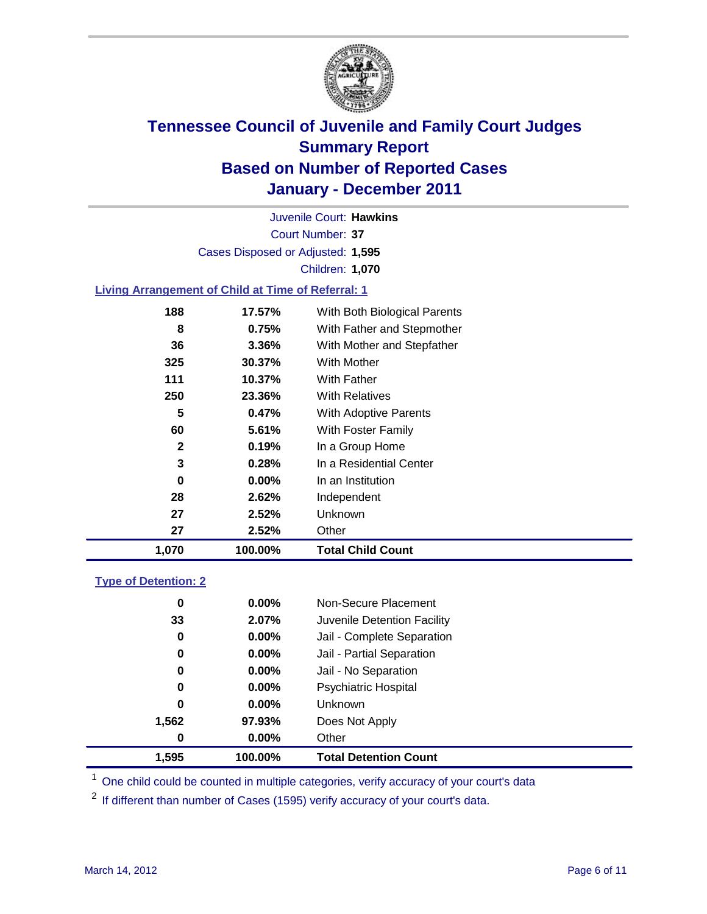

Court Number: **37** Juvenile Court: **Hawkins** Cases Disposed or Adjusted: **1,595** Children: **1,070**

### **Living Arrangement of Child at Time of Referral: 1**

| 1,070        | 100.00%  | <b>Total Child Count</b>     |
|--------------|----------|------------------------------|
| 27           | 2.52%    | Other                        |
| 27           | 2.52%    | Unknown                      |
| 28           | 2.62%    | Independent                  |
| 0            | $0.00\%$ | In an Institution            |
| 3            | 0.28%    | In a Residential Center      |
| $\mathbf{2}$ | 0.19%    | In a Group Home              |
| 60           | 5.61%    | With Foster Family           |
| 5            | 0.47%    | <b>With Adoptive Parents</b> |
| 250          | 23.36%   | <b>With Relatives</b>        |
| 111          | 10.37%   | With Father                  |
| 325          | 30.37%   | <b>With Mother</b>           |
| 36           | 3.36%    | With Mother and Stepfather   |
| 8            | 0.75%    | With Father and Stepmother   |
| 188          | 17.57%   | With Both Biological Parents |
|              |          |                              |

### **Type of Detention: 2**

| 1,595 | 100.00%  | <b>Total Detention Count</b> |
|-------|----------|------------------------------|
| 0     | 0.00%    | Other                        |
| 1,562 | 97.93%   | Does Not Apply               |
| 0     | $0.00\%$ | Unknown                      |
| 0     | $0.00\%$ | Psychiatric Hospital         |
| 0     | 0.00%    | Jail - No Separation         |
| 0     | $0.00\%$ | Jail - Partial Separation    |
| 0     | 0.00%    | Jail - Complete Separation   |
| 33    | 2.07%    | Juvenile Detention Facility  |
| 0     | $0.00\%$ | Non-Secure Placement         |
|       |          |                              |

<sup>1</sup> One child could be counted in multiple categories, verify accuracy of your court's data

<sup>2</sup> If different than number of Cases (1595) verify accuracy of your court's data.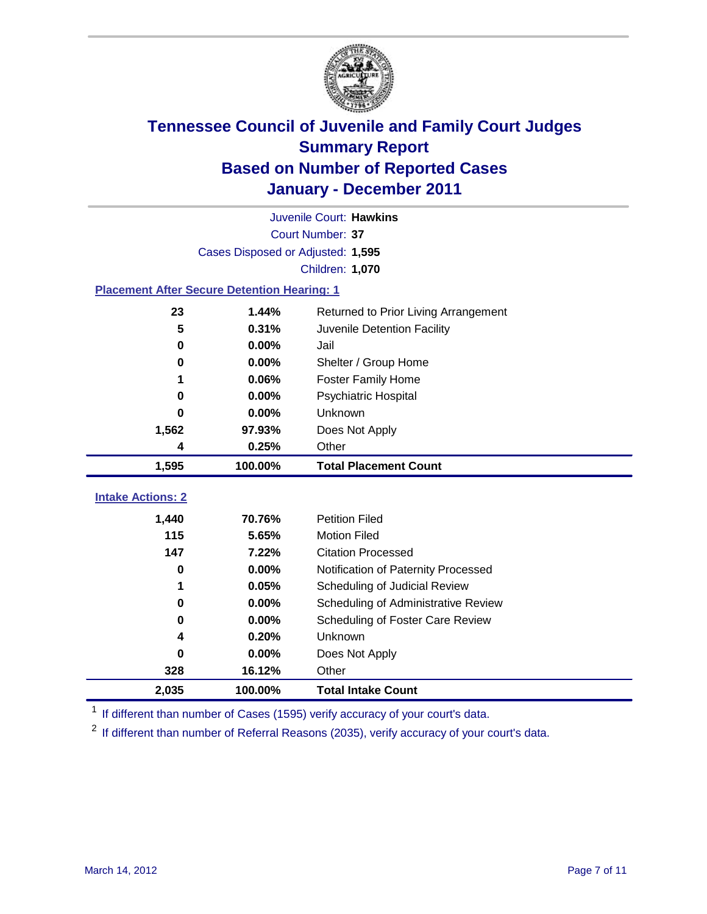

|                                                    |                                   | Juvenile Court: Hawkins              |  |  |  |  |
|----------------------------------------------------|-----------------------------------|--------------------------------------|--|--|--|--|
|                                                    |                                   | Court Number: 37                     |  |  |  |  |
|                                                    | Cases Disposed or Adjusted: 1,595 |                                      |  |  |  |  |
|                                                    | Children: 1,070                   |                                      |  |  |  |  |
| <b>Placement After Secure Detention Hearing: 1</b> |                                   |                                      |  |  |  |  |
| 23                                                 | 1.44%                             | Returned to Prior Living Arrangement |  |  |  |  |
| 5                                                  | 0.31%                             | Juvenile Detention Facility          |  |  |  |  |
| $\bf{0}$                                           | 0.00%                             | Jail                                 |  |  |  |  |
| 0                                                  | 0.00%                             | Shelter / Group Home                 |  |  |  |  |
| 1                                                  | 0.06%                             | Foster Family Home                   |  |  |  |  |
| 0                                                  | 0.00%                             | Psychiatric Hospital                 |  |  |  |  |
| 0                                                  | 0.00%                             | Unknown                              |  |  |  |  |
| 1,562                                              | 97.93%                            | Does Not Apply                       |  |  |  |  |
| 4                                                  | 0.25%                             | Other                                |  |  |  |  |
| 1,595                                              | 100.00%                           | <b>Total Placement Count</b>         |  |  |  |  |
| <b>Intake Actions: 2</b>                           |                                   |                                      |  |  |  |  |
|                                                    |                                   | <b>Petition Filed</b>                |  |  |  |  |
| 1,440<br>115                                       | 70.76%<br>5.65%                   | <b>Motion Filed</b>                  |  |  |  |  |
| 147                                                |                                   | <b>Citation Processed</b>            |  |  |  |  |
|                                                    | 7.22%                             |                                      |  |  |  |  |
| 0                                                  | 0.00%                             | Notification of Paternity Processed  |  |  |  |  |
| 1                                                  | 0.05%                             | Scheduling of Judicial Review        |  |  |  |  |
| 0                                                  | 0.00%                             | Scheduling of Administrative Review  |  |  |  |  |
| 0                                                  | 0.00%                             | Scheduling of Foster Care Review     |  |  |  |  |
| 4                                                  | 0.20%                             | Unknown                              |  |  |  |  |
| 0                                                  | 0.00%                             | Does Not Apply                       |  |  |  |  |
| 328                                                | 16.12%                            | Other                                |  |  |  |  |
| 2,035                                              | 100.00%                           | <b>Total Intake Count</b>            |  |  |  |  |

<sup>1</sup> If different than number of Cases (1595) verify accuracy of your court's data.

<sup>2</sup> If different than number of Referral Reasons (2035), verify accuracy of your court's data.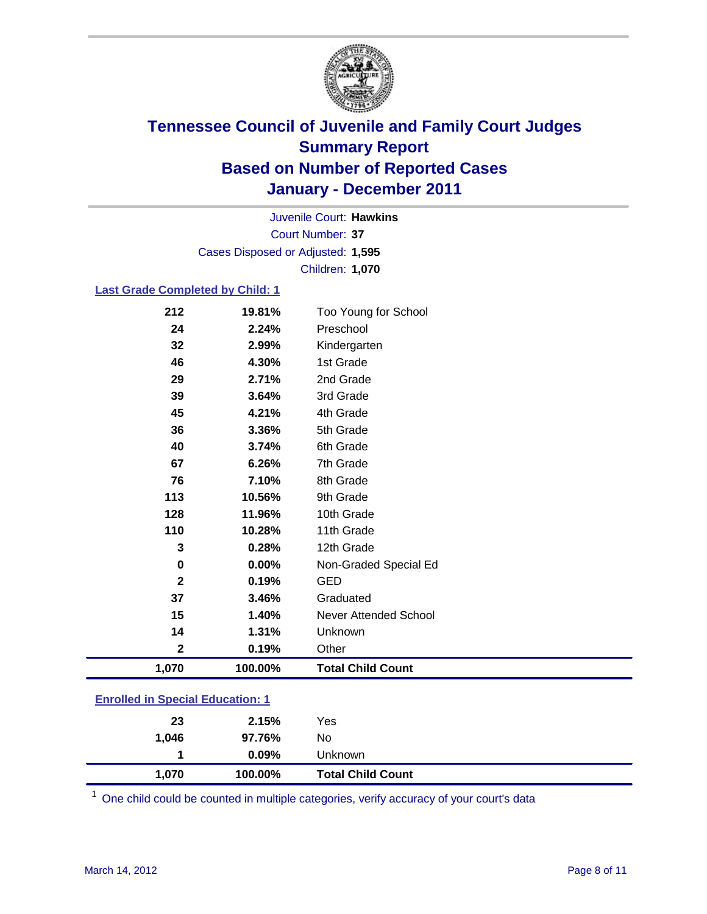

Court Number: **37** Juvenile Court: **Hawkins** Cases Disposed or Adjusted: **1,595** Children: **1,070**

#### **Last Grade Completed by Child: 1**

| <b>Enrolled in Special Education: 1</b> |                |                              |  |
|-----------------------------------------|----------------|------------------------------|--|
| 1,070                                   | 100.00%        | <b>Total Child Count</b>     |  |
| $\mathbf 2$                             | 0.19%          | Other                        |  |
| 14                                      | 1.31%          | Unknown                      |  |
| 15                                      | 1.40%          | <b>Never Attended School</b> |  |
| 37                                      | 3.46%          | Graduated                    |  |
| $\mathbf{2}$                            | 0.19%          | <b>GED</b>                   |  |
| 0                                       | 0.00%          | Non-Graded Special Ed        |  |
| 3                                       | 0.28%          | 12th Grade                   |  |
| 110                                     | 10.28%         | 11th Grade                   |  |
| 128                                     | 11.96%         | 10th Grade                   |  |
| 113                                     | 10.56%         | 9th Grade                    |  |
| 76                                      | 7.10%          | 8th Grade                    |  |
| 67                                      | 6.26%          | 7th Grade                    |  |
| 40                                      | 3.74%          | 6th Grade                    |  |
| 36                                      | 3.36%          | 5th Grade                    |  |
| 45                                      | 4.21%          | 4th Grade                    |  |
| 39                                      | 3.64%          | 3rd Grade                    |  |
| 29                                      | 2.71%          | 2nd Grade                    |  |
| 46                                      | 4.30%          | Kindergarten<br>1st Grade    |  |
| 24<br>32                                | 2.24%<br>2.99% |                              |  |
|                                         |                | Preschool                    |  |
| 212                                     | 19.81%         | Too Young for School         |  |

One child could be counted in multiple categories, verify accuracy of your court's data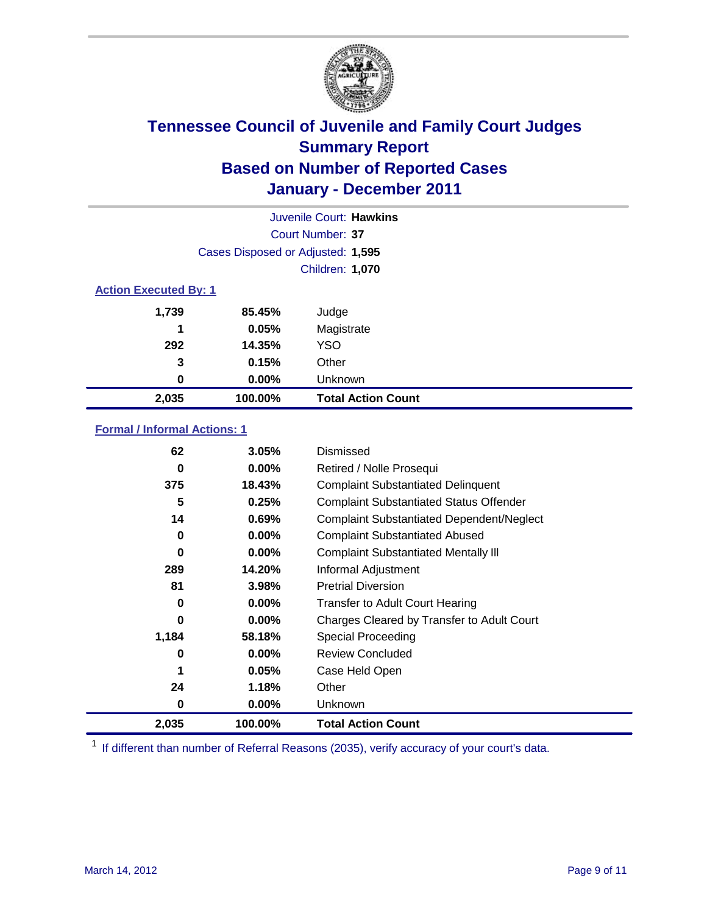

|                              | Juvenile Court: Hawkins           |                           |  |  |  |
|------------------------------|-----------------------------------|---------------------------|--|--|--|
|                              | Court Number: 37                  |                           |  |  |  |
|                              | Cases Disposed or Adjusted: 1,595 |                           |  |  |  |
|                              | Children: 1,070                   |                           |  |  |  |
| <b>Action Executed By: 1</b> |                                   |                           |  |  |  |
| 1,739                        | 85.45%                            | Judge                     |  |  |  |
| 1                            | 0.05%                             | Magistrate                |  |  |  |
| 292                          | 14.35%                            | <b>YSO</b>                |  |  |  |
| 3                            | 0.15%                             | Other                     |  |  |  |
| 0                            | 0.00%                             | Unknown                   |  |  |  |
| 2,035                        | 100.00%                           | <b>Total Action Count</b> |  |  |  |

### **Formal / Informal Actions: 1**

| 62       | 3.05%    | Dismissed                                        |
|----------|----------|--------------------------------------------------|
| 0        | $0.00\%$ | Retired / Nolle Prosequi                         |
| 375      | 18.43%   | <b>Complaint Substantiated Delinquent</b>        |
| 5        | 0.25%    | <b>Complaint Substantiated Status Offender</b>   |
| 14       | 0.69%    | <b>Complaint Substantiated Dependent/Neglect</b> |
| 0        | $0.00\%$ | <b>Complaint Substantiated Abused</b>            |
| $\bf{0}$ | $0.00\%$ | <b>Complaint Substantiated Mentally III</b>      |
| 289      | 14.20%   | Informal Adjustment                              |
| 81       | 3.98%    | <b>Pretrial Diversion</b>                        |
| 0        | $0.00\%$ | <b>Transfer to Adult Court Hearing</b>           |
| 0        | $0.00\%$ | Charges Cleared by Transfer to Adult Court       |
| 1,184    | 58.18%   | Special Proceeding                               |
| 0        | $0.00\%$ | <b>Review Concluded</b>                          |
| 1        | 0.05%    | Case Held Open                                   |
| 24       | 1.18%    | Other                                            |
| 0        | $0.00\%$ | Unknown                                          |
| 2,035    | 100.00%  | <b>Total Action Count</b>                        |

<sup>1</sup> If different than number of Referral Reasons (2035), verify accuracy of your court's data.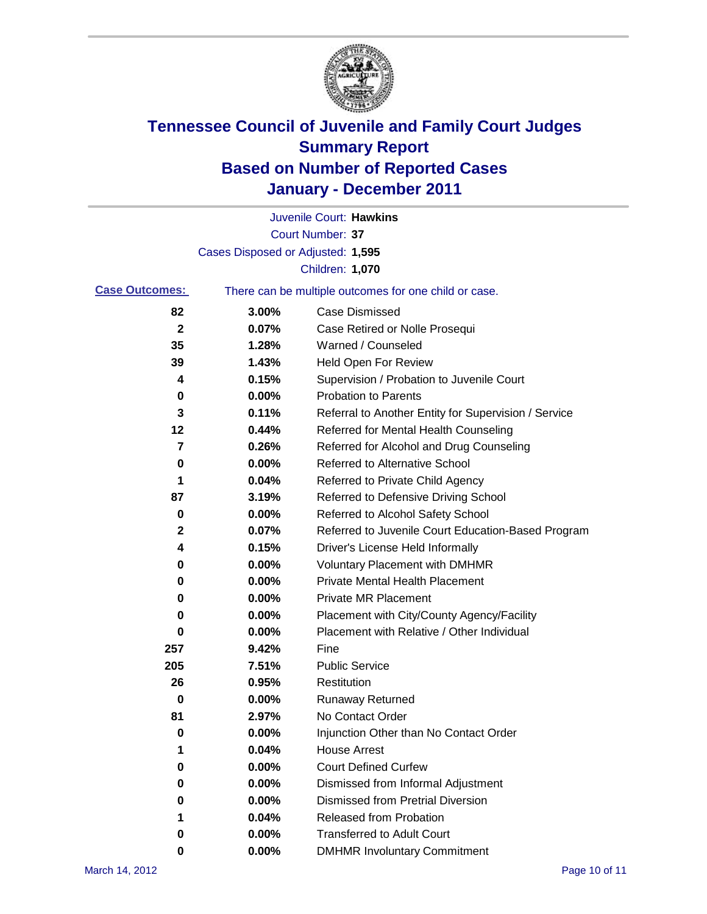

|                       |                                   | Juvenile Court: Hawkins                               |
|-----------------------|-----------------------------------|-------------------------------------------------------|
|                       |                                   | Court Number: 37                                      |
|                       | Cases Disposed or Adjusted: 1,595 |                                                       |
|                       |                                   | Children: 1,070                                       |
| <b>Case Outcomes:</b> |                                   | There can be multiple outcomes for one child or case. |
| 82                    | 3.00%                             | <b>Case Dismissed</b>                                 |
| $\mathbf 2$           | 0.07%                             | Case Retired or Nolle Prosequi                        |
| 35                    | 1.28%                             | Warned / Counseled                                    |
| 39                    | 1.43%                             | <b>Held Open For Review</b>                           |
| 4                     | 0.15%                             | Supervision / Probation to Juvenile Court             |
| 0                     | 0.00%                             | <b>Probation to Parents</b>                           |
| 3                     | 0.11%                             | Referral to Another Entity for Supervision / Service  |
| 12                    | 0.44%                             | Referred for Mental Health Counseling                 |
| 7                     | 0.26%                             | Referred for Alcohol and Drug Counseling              |
| 0                     | 0.00%                             | <b>Referred to Alternative School</b>                 |
| 1                     | 0.04%                             | Referred to Private Child Agency                      |
| 87                    | 3.19%                             | Referred to Defensive Driving School                  |
| 0                     | 0.00%                             | Referred to Alcohol Safety School                     |
| 2                     | 0.07%                             | Referred to Juvenile Court Education-Based Program    |
| 4                     | 0.15%                             | Driver's License Held Informally                      |
| 0                     | 0.00%                             | <b>Voluntary Placement with DMHMR</b>                 |
| 0                     | 0.00%                             | <b>Private Mental Health Placement</b>                |
| 0                     | 0.00%                             | <b>Private MR Placement</b>                           |
| 0                     | 0.00%                             | Placement with City/County Agency/Facility            |
| 0                     | 0.00%                             | Placement with Relative / Other Individual            |
| 257                   | 9.42%                             | Fine                                                  |
| 205                   | 7.51%                             | <b>Public Service</b>                                 |
| 26                    | 0.95%                             | Restitution                                           |
| 0                     | 0.00%                             | <b>Runaway Returned</b>                               |
| 81                    | 2.97%                             | No Contact Order                                      |
| 0                     | 0.00%                             | Injunction Other than No Contact Order                |
| 1                     | 0.04%                             | <b>House Arrest</b>                                   |
| 0                     | 0.00%                             | <b>Court Defined Curfew</b>                           |
| 0                     | 0.00%                             | Dismissed from Informal Adjustment                    |
| 0                     | 0.00%                             | <b>Dismissed from Pretrial Diversion</b>              |
| 1                     | 0.04%                             | Released from Probation                               |
| 0                     | 0.00%                             | <b>Transferred to Adult Court</b>                     |
| 0                     | $0.00\%$                          | <b>DMHMR Involuntary Commitment</b>                   |